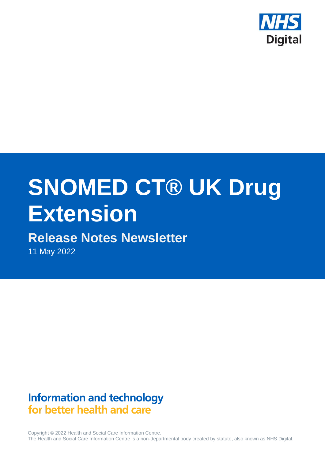

# **SNOMED CT® UK Drug Extension**

# **Release Notes Newsletter**

11 May 2022

# **Information and technology** for better health and care

Copyright © 2022 Health and Social Care Information Centre. The Health and Social Care Information Centre is a non-departmental body created by statute, also known as NHS Digital.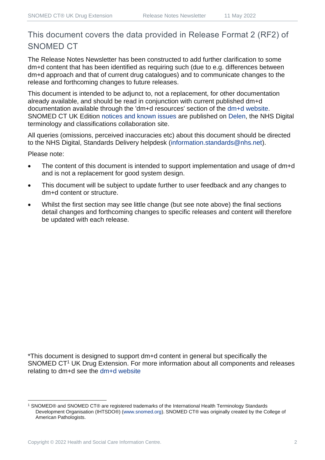## This document covers the data provided in Release Format 2 (RF2) of SNOMED CT

The Release Notes Newsletter has been constructed to add further clarification to some dm+d content that has been identified as requiring such (due to e.g. differences between dm+d approach and that of current drug catalogues) and to communicate changes to the release and forthcoming changes to future releases.

This document is intended to be adjunct to, not a replacement, for other documentation already available, and should be read in conjunction with current published dm+d documentation available through the 'dm+d resources' section of the [dm+d website.](https://www.nhsbsa.nhs.uk/pharmacies-gp-practices-and-appliance-contractors/dictionary-medicines-and-devices-dmd) SNOMED CT UK Edition [notices and known issues](https://hscic.kahootz.com/connect.ti/t_c_home/view?objectId=14224752) are published on [Delen,](https://hscic.kahootz.com/connect.ti/t_c_home) the NHS Digital terminology and classifications collaboration site.

All queries (omissions, perceived inaccuracies etc) about this document should be directed to the NHS Digital, Standards Delivery helpdesk [\(information.standards@nhs.net\)](mailto:information.standards@nhs.net).

Please note:

- The content of this document is intended to support implementation and usage of dm+d and is not a replacement for good system design.
- This document will be subject to update further to user feedback and any changes to dm+d content or structure.
- Whilst the first section may see little change (but see note above) the final sections detail changes and forthcoming changes to specific releases and content will therefore be updated with each release.

\*This document is designed to support dm+d content in general but specifically the SNOMED CT<sup>1</sup> UK Drug Extension. For more information about all components and releases relating to dm+d see the [dm+d website](https://www.nhsbsa.nhs.uk/pharmacies-gp-practices-and-appliance-contractors/dictionary-medicines-and-devices-dmd)

<sup>1</sup> SNOMED® and SNOMED CT® are registered trademarks of the International Health Terminology Standards Development Organisation (IHTSDO®) [\(www.snomed.org\)](http://www.snomed.org/). SNOMED CT® was originally created by the College of American Pathologists.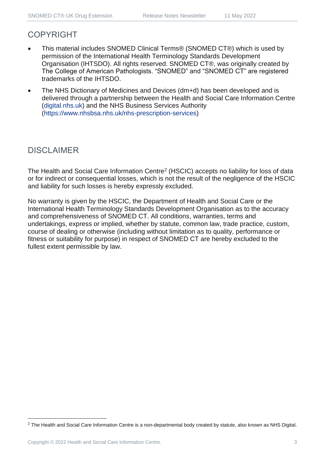### COPYRIGHT

- This material includes SNOMED Clinical Terms® (SNOMED CT®) which is used by permission of the International Health Terminology Standards Development Organisation (IHTSDO). All rights reserved. SNOMED CT®, was originally created by The College of American Pathologists. "SNOMED" and "SNOMED CT" are registered trademarks of the IHTSDO.
- The NHS Dictionary of Medicines and Devices (dm+d) has been developed and is delivered through a partnership between the Health and Social Care Information Centre [\(digital.nhs.uk\)](https://digital.nhs.uk/) and the NHS Business Services Authority [\(https://www.nhsbsa.nhs.uk/nhs-prescription-services\)](https://www.nhsbsa.nhs.uk/nhs-prescription-services)

## DISCLAIMER

The Health and Social Care Information Centre<sup>2</sup> (HSCIC) accepts no liability for loss of data or for indirect or consequential losses, which is not the result of the negligence of the HSCIC and liability for such losses is hereby expressly excluded.

No warranty is given by the HSCIC, the Department of Health and Social Care or the International Health Terminology Standards Development Organisation as to the accuracy and comprehensiveness of SNOMED CT. All conditions, warranties, terms and undertakings, express or implied, whether by statute, common law, trade practice, custom, course of dealing or otherwise (including without limitation as to quality, performance or fitness or suitability for purpose) in respect of SNOMED CT are hereby excluded to the fullest extent permissible by law.

<sup>&</sup>lt;sup>2</sup> The Health and Social Care Information Centre is a non-departmental body created by statute, also known as NHS Digital.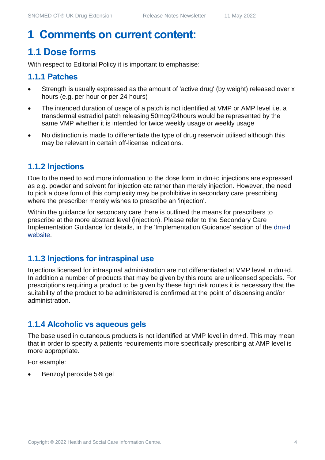# **1 Comments on current content:**

## **1.1 Dose forms**

With respect to Editorial Policy it is important to emphasise:

#### **1.1.1 Patches**

- Strength is usually expressed as the amount of 'active drug' (by weight) released over x hours (e.g. per hour or per 24 hours)
- The intended duration of usage of a patch is not identified at VMP or AMP level i.e. a transdermal estradiol patch releasing 50mcg/24hours would be represented by the same VMP whether it is intended for twice weekly usage or weekly usage
- No distinction is made to differentiate the type of drug reservoir utilised although this may be relevant in certain off-license indications.

#### **1.1.2 Injections**

Due to the need to add more information to the dose form in dm+d injections are expressed as e.g. powder and solvent for injection etc rather than merely injection. However, the need to pick a dose form of this complexity may be prohibitive in secondary care prescribing where the prescriber merely wishes to prescribe an 'injection'.

Within the guidance for secondary care there is outlined the means for prescribers to prescribe at the more abstract level (injection). Please refer to the Secondary Care Implementation Guidance for details, in the 'Implementation Guidance' section of the [dm+d](https://www.nhsbsa.nhs.uk/pharmacies-gp-practices-and-appliance-contractors/dictionary-medicines-and-devices-dmd)  [website.](https://www.nhsbsa.nhs.uk/pharmacies-gp-practices-and-appliance-contractors/dictionary-medicines-and-devices-dmd)

#### **1.1.3 Injections for intraspinal use**

Injections licensed for intraspinal administration are not differentiated at VMP level in dm+d. In addition a number of products that may be given by this route are unlicensed specials. For prescriptions requiring a product to be given by these high risk routes it is necessary that the suitability of the product to be administered is confirmed at the point of dispensing and/or administration.

#### **1.1.4 Alcoholic vs aqueous gels**

The base used in cutaneous products is not identified at VMP level in dm+d. This may mean that in order to specify a patients requirements more specifically prescribing at AMP level is more appropriate.

For example:

• Benzoyl peroxide 5% gel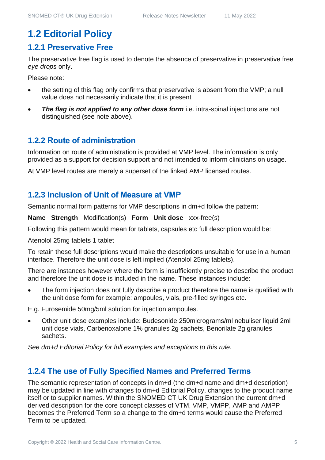## **1.2 Editorial Policy**

#### **1.2.1 Preservative Free**

The preservative free flag is used to denote the absence of preservative in preservative free *eye drops* only.

Please note:

- the setting of this flag only confirms that preservative is absent from the VMP; a null value does not necessarily indicate that it is present
- **The flag is not applied to any other dose form** i.e. intra-spinal injections are not distinguished (see note above).

#### **1.2.2 Route of administration**

Information on route of administration is provided at VMP level. The information is only provided as a support for decision support and not intended to inform clinicians on usage.

At VMP level routes are merely a superset of the linked AMP licensed routes.

#### **1.2.3 Inclusion of Unit of Measure at VMP**

Semantic normal form patterns for VMP descriptions in dm+d follow the pattern:

**Name Strength** Modification(s) **Form Unit dose** xxx-free(s)

Following this pattern would mean for tablets, capsules etc full description would be:

Atenolol 25mg tablets 1 tablet

To retain these full descriptions would make the descriptions unsuitable for use in a human interface. Therefore the unit dose is left implied (Atenolol 25mg tablets).

There are instances however where the form is insufficiently precise to describe the product and therefore the unit dose is included in the name. These instances include:

The form injection does not fully describe a product therefore the name is qualified with the unit dose form for example: ampoules, vials, pre-filled syringes etc.

E.g. Furosemide 50mg/5ml solution for injection ampoules.

• Other unit dose examples include: Budesonide 250micrograms/ml nebuliser liquid 2ml unit dose vials, Carbenoxalone 1% granules 2g sachets, Benorilate 2g granules sachets.

*See dm+d Editorial Policy for full examples and exceptions to this rule.*

#### **1.2.4 The use of Fully Specified Names and Preferred Terms**

The semantic representation of concepts in dm+d (the dm+d name and dm+d description) may be updated in line with changes to dm+d Editorial Policy, changes to the product name itself or to supplier names. Within the SNOMED CT UK Drug Extension the current dm+d derived description for the core concept classes of VTM, VMP, VMPP, AMP and AMPP becomes the Preferred Term so a change to the dm+d terms would cause the Preferred Term to be updated.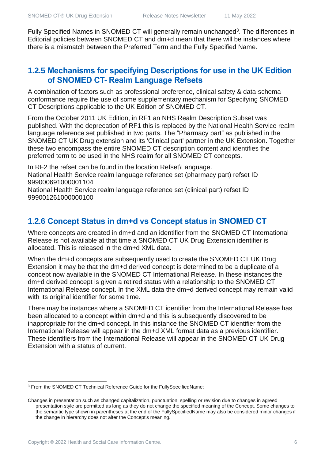Fully Specified Names in SNOMED CT will generally remain unchanged<sup>3</sup>. The differences in Editorial policies between SNOMED CT and dm+d mean that there will be instances where there is a mismatch between the Preferred Term and the Fully Specified Name.

#### **1.2.5 Mechanisms for specifying Descriptions for use in the UK Edition of SNOMED CT- Realm Language Refsets**

A combination of factors such as professional preference, clinical safety & data schema conformance require the use of some supplementary mechanism for Specifying SNOMED CT Descriptions applicable to the UK Edition of SNOMED CT.

From the October 2011 UK Edition, in RF1 an NHS Realm Description Subset was published. With the deprecation of RF1 this is replaced by the National Health Service realm language reference set published in two parts. The "Pharmacy part" as published in the SNOMED CT UK Drug extension and its 'Clinical part' partner in the UK Extension. Together these two encompass the entire SNOMED CT description content and identifies the preferred term to be used in the NHS realm for all SNOMED CT concepts.

In RF2 the refset can be found in the location Refset\Language. National Health Service realm language reference set (pharmacy part) refset ID 999000691000001104

National Health Service realm language reference set (clinical part) refset ID 999001261000000100

#### **1.2.6 Concept Status in dm+d vs Concept status in SNOMED CT**

Where concepts are created in dm+d and an identifier from the SNOMED CT International Release is not available at that time a SNOMED CT UK Drug Extension identifier is allocated. This is released in the dm+d XML data.

When the dm+d concepts are subsequently used to create the SNOMED CT UK Drug Extension it may be that the dm+d derived concept is determined to be a duplicate of a concept now available in the SNOMED CT International Release. In these instances the dm+d derived concept is given a retired status with a relationship to the SNOMED CT International Release concept. In the XML data the dm+d derived concept may remain valid with its original identifier for some time.

There may be instances where a SNOMED CT identifier from the International Release has been allocated to a concept within dm+d and this is subsequently discovered to be inappropriate for the dm+d concept. In this instance the SNOMED CT identifier from the International Release will appear in the dm+d XML format data as a previous identifier. These identifiers from the International Release will appear in the SNOMED CT UK Drug Extension with a status of current.

<sup>3</sup> From the SNOMED CT Technical Reference Guide for the FullySpecifiedName:

Changes in presentation such as changed capitalization, punctuation, spelling or revision due to changes in agreed presentation style are permitted as long as they do not change the specified meaning of the Concept. Some changes to the semantic type shown in parentheses at the end of the FullySpecifiedName may also be considered minor changes if the change in hierarchy does not alter the Concept's meaning.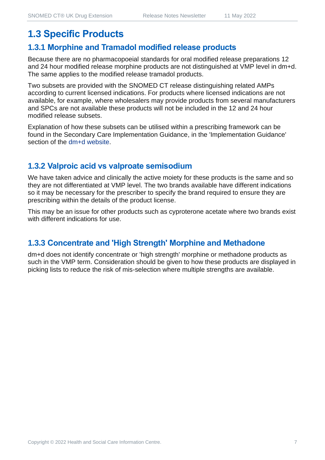## **1.3 Specific Products**

#### **1.3.1 Morphine and Tramadol modified release products**

Because there are no pharmacopoeial standards for oral modified release preparations 12 and 24 hour modified release morphine products are not distinguished at VMP level in dm+d. The same applies to the modified release tramadol products.

Two subsets are provided with the SNOMED CT release distinguishing related AMPs according to current licensed indications. For products where licensed indications are not available, for example, where wholesalers may provide products from several manufacturers and SPCs are not available these products will not be included in the 12 and 24 hour modified release subsets.

Explanation of how these subsets can be utilised within a prescribing framework can be found in the Secondary Care Implementation Guidance, in the 'Implementation Guidance' section of the [dm+d website.](https://www.nhsbsa.nhs.uk/pharmacies-gp-practices-and-appliance-contractors/dictionary-medicines-and-devices-dmd)

#### **1.3.2 Valproic acid vs valproate semisodium**

We have taken advice and clinically the active moiety for these products is the same and so they are not differentiated at VMP level. The two brands available have different indications so it may be necessary for the prescriber to specify the brand required to ensure they are prescribing within the details of the product license.

This may be an issue for other products such as cyproterone acetate where two brands exist with different indications for use.

#### **1.3.3 Concentrate and 'High Strength' Morphine and Methadone**

dm+d does not identify concentrate or 'high strength' morphine or methadone products as such in the VMP term. Consideration should be given to how these products are displayed in picking lists to reduce the risk of mis-selection where multiple strengths are available.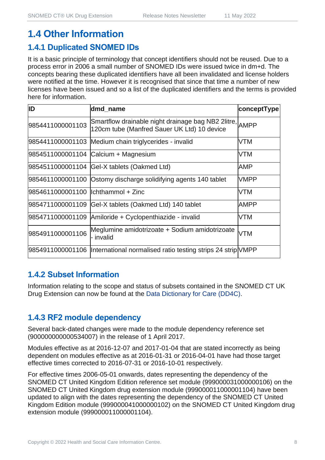## **1.4 Other Information**

#### **1.4.1 Duplicated SNOMED IDs**

It is a basic principle of terminology that concept identifiers should not be reused. Due to a process error in 2006 a small number of SNOMED IDs were issued twice in dm+d. The concepts bearing these duplicated identifiers have all been invalidated and license holders were notified at the time. However it is recognised that since that time a number of new licenses have been issued and so a list of the duplicated identifiers and the terms is provided here for information.

| ID                                  | dmd_name                                                                                               | conceptType |
|-------------------------------------|--------------------------------------------------------------------------------------------------------|-------------|
| 9854411000001103                    | Smartflow drainable night drainage bag NB2 2litre, AMPP<br>120cm tube (Manfred Sauer UK Ltd) 10 device |             |
|                                     | 9854411000001103 Medium chain triglycerides - invalid                                                  | <b>VTM</b>  |
|                                     | 9854511000001104 Calcium + Magnesium                                                                   | <b>VTM</b>  |
|                                     | 9854511000001104 Gel-X tablets (Oakmed Ltd)                                                            | AMP         |
|                                     | 9854611000001100 Ostomy discharge solidifying agents 140 tablet                                        | <b>VMPP</b> |
| 9854611000001100  lchthammol + Zinc |                                                                                                        | <b>VTM</b>  |
| 9854711000001109                    | Gel-X tablets (Oakmed Ltd) 140 tablet                                                                  | <b>AMPP</b> |
| 9854711000001109                    | Amiloride + Cyclopenthiazide - invalid                                                                 | <b>VTM</b>  |
| 9854911000001106                    | Meglumine amidotrizoate + Sodium amidotrizoate<br>- invalid                                            | <b>VTM</b>  |
| 9854911000001106                    | International normalised ratio testing strips 24 strip VMPP                                            |             |

#### **1.4.2 Subset Information**

Information relating to the scope and status of subsets contained in the SNOMED CT UK Drug Extension can now be found at the [Data Dictionary for Care \(DD4C\).](https://dd4c.digital.nhs.uk/dd4c/)

#### **1.4.3 RF2 module dependency**

Several back-dated changes were made to the module dependency reference set (900000000000534007) in the release of 1 April 2017.

Modules effective as at 2016-12-07 and 2017-01-04 that are stated incorrectly as being dependent on modules effective as at 2016-01-31 or 2016-04-01 have had those target effective times corrected to 2016-07-31 or 2016-10-01 respectively.

For effective times 2006-05-01 onwards, dates representing the dependency of the SNOMED CT United Kingdom Edition reference set module (999000031000000106) on the SNOMED CT United Kingdom drug extension module (999000011000001104) have been updated to align with the dates representing the dependency of the SNOMED CT United Kingdom Edition module (999000041000000102) on the SNOMED CT United Kingdom drug extension module (999000011000001104).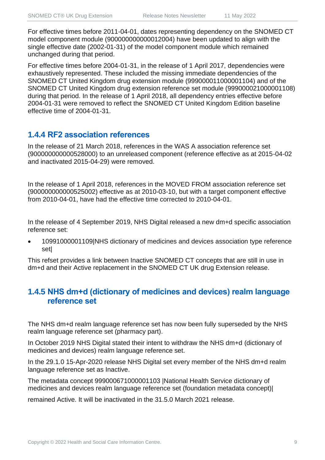For effective times before 2011-04-01, dates representing dependency on the SNOMED CT model component module (900000000000012004) have been updated to align with the single effective date (2002-01-31) of the model component module which remained unchanged during that period.

For effective times before 2004-01-31, in the release of 1 April 2017, dependencies were exhaustively represented. These included the missing immediate dependencies of the SNOMED CT United Kingdom drug extension module (999000011000001104) and of the SNOMED CT United Kingdom drug extension reference set module (999000021000001108) during that period. In the release of 1 April 2018, all dependency entries effective before 2004-01-31 were removed to reflect the SNOMED CT United Kingdom Edition baseline effective time of 2004-01-31.

#### **1.4.4 RF2 association references**

In the release of 21 March 2018, references in the WAS A association reference set (900000000000528000) to an unreleased component (reference effective as at 2015-04-02 and inactivated 2015-04-29) were removed.

In the release of 1 April 2018, references in the MOVED FROM association reference set (900000000000525002) effective as at 2010-03-10, but with a target component effective from 2010-04-01, have had the effective time corrected to 2010-04-01.

In the release of 4 September 2019, NHS Digital released a new dm+d specific association reference set:

• 10991000001109|NHS dictionary of medicines and devices association type reference set|

This refset provides a link between Inactive SNOMED CT concepts that are still in use in dm+d and their Active replacement in the SNOMED CT UK drug Extension release.

#### **1.4.5 NHS dm+d (dictionary of medicines and devices) realm language reference set**

The NHS dm+d realm language reference set has now been fully superseded by the NHS realm language reference set (pharmacy part).

In October 2019 NHS Digital stated their intent to withdraw the NHS dm+d (dictionary of medicines and devices) realm language reference set.

In the 29.1.0 15-Apr-2020 release NHS Digital set every member of the NHS dm+d realm language reference set as Inactive.

The metadata concept 999000671000001103 |National Health Service dictionary of medicines and devices realm language reference set (foundation metadata concept)|

remained Active. It will be inactivated in the 31.5.0 March 2021 release.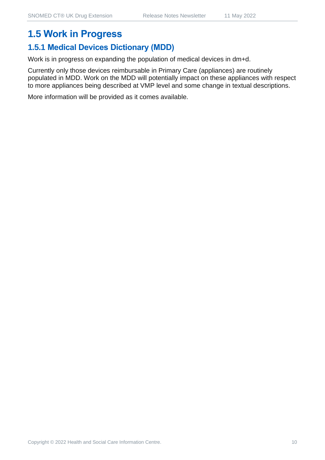## **1.5 Work in Progress**

#### **1.5.1 Medical Devices Dictionary (MDD)**

Work is in progress on expanding the population of medical devices in dm+d.

Currently only those devices reimbursable in Primary Care (appliances) are routinely populated in MDD. Work on the MDD will potentially impact on these appliances with respect to more appliances being described at VMP level and some change in textual descriptions.

More information will be provided as it comes available.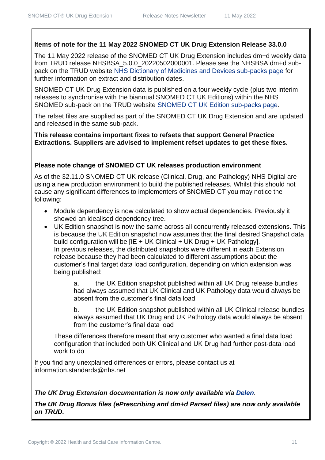#### **Items of note for the 11 May 2022 SNOMED CT UK Drug Extension Release 33.0.0**

The 11 May 2022 release of the SNOMED CT UK Drug Extension includes dm+d weekly data from TRUD release NHSBSA\_5.0.0\_20220502000001. Please see the NHSBSA dm+d subpack on the TRUD website [NHS Dictionary of Medicines and Devices sub-packs page](https://isd.digital.nhs.uk/trud3/user/guest/group/0/pack/6) for further information on extract and distribution dates.

SNOMED CT UK Drug Extension data is published on a four weekly cycle (plus two interim releases to synchronise with the biannual SNOMED CT UK Editions) within the NHS SNOMED sub-pack on the TRUD website [SNOMED CT UK Edition sub-packs page.](https://isd.digital.nhs.uk/trud3/user/guest/group/0/pack/26)

The refset files are supplied as part of the SNOMED CT UK Drug Extension and are updated and released in the same sub-pack.

**This release contains important fixes to refsets that support General Practice Extractions. Suppliers are advised to implement refset updates to get these fixes.** 

#### **Please note change of SNOMED CT UK releases production environment**

As of the 32.11.0 SNOMED CT UK release (Clinical, Drug, and Pathology) NHS Digital are using a new production environment to build the published releases. Whilst this should not cause any significant differences to implementers of SNOMED CT you may notice the following:

- Module dependency is now calculated to show actual dependencies. Previously it showed an idealised dependency tree.
- UK Edition snapshot is now the same across all concurrently released extensions. This is because the UK Edition snapshot now assumes that the final desired Snapshot data build configuration will be [IE + UK Clinical + UK Drug + UK Pathology]. In previous releases, the distributed snapshots were different in each Extension release because they had been calculated to different assumptions about the customer's final target data load configuration, depending on which extension was being published:

a. the UK Edition snapshot published within all UK Drug release bundles had always assumed that UK Clinical and UK Pathology data would always be absent from the customer's final data load

b. the UK Edition snapshot published within all UK Clinical release bundles always assumed that UK Drug and UK Pathology data would always be absent from the customer's final data load

These differences therefore meant that any customer who wanted a final data load configuration that included both UK Clinical and UK Drug had further post-data load work to do

If you find any unexplained differences or errors, please contact us at [information.standards@nhs.net](mailto:information.standards@nhs.net)

#### *The UK Drug Extension documentation is now only available via [Delen](https://hscic.kahootz.com/connect.ti/t_c_home/view?objectId=14540272).*

*The UK Drug Bonus files (ePrescribing and dm+d Parsed files) are now only available on TRUD.*